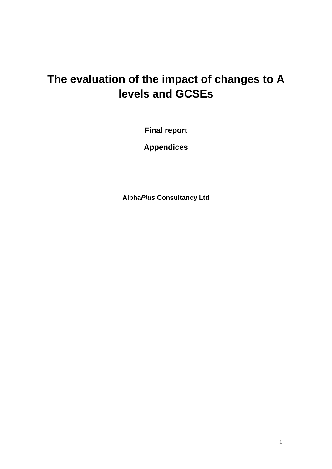# **The evaluation of the impact of changes to A levels and GCSEs**

**Final report** 

**Appendices** 

**Alpha***Plus* **Consultancy Ltd**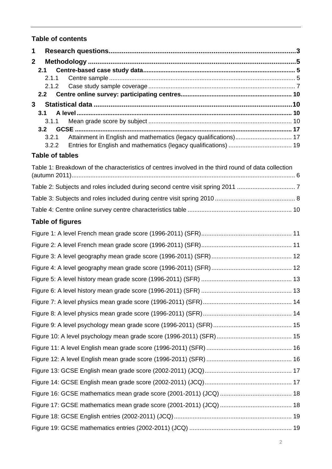## **Table of contents**

| 1            |                                                                                                     |  |
|--------------|-----------------------------------------------------------------------------------------------------|--|
| $\mathbf{2}$ |                                                                                                     |  |
|              | 2.1                                                                                                 |  |
|              | 2.1.1<br>2.1.2                                                                                      |  |
|              | 2.2                                                                                                 |  |
| 3            |                                                                                                     |  |
|              | 3.1<br>3.1.1                                                                                        |  |
|              | 3.2                                                                                                 |  |
|              | Attainment in English and mathematics (legacy qualifications) 17<br>3.2.1                           |  |
|              | 3.2.2                                                                                               |  |
|              | <b>Table of tables</b>                                                                              |  |
|              | Table 1: Breakdown of the characteristics of centres involved in the third round of data collection |  |
|              |                                                                                                     |  |
|              |                                                                                                     |  |
|              |                                                                                                     |  |
|              | <b>Table of figures</b>                                                                             |  |
|              |                                                                                                     |  |
|              |                                                                                                     |  |
|              |                                                                                                     |  |
|              |                                                                                                     |  |
|              |                                                                                                     |  |
|              |                                                                                                     |  |
|              |                                                                                                     |  |
|              |                                                                                                     |  |
|              |                                                                                                     |  |
|              |                                                                                                     |  |
|              |                                                                                                     |  |
|              |                                                                                                     |  |
|              |                                                                                                     |  |
|              |                                                                                                     |  |
|              |                                                                                                     |  |
|              |                                                                                                     |  |
|              |                                                                                                     |  |
|              |                                                                                                     |  |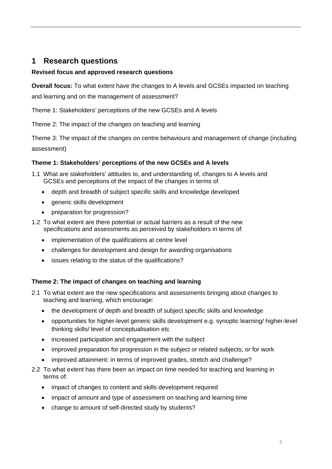## <span id="page-2-0"></span>**1 Research questions**

### **Revised focus and approved research questions**

**Overall focus:** To what extent have the changes to A levels and GCSEs impacted on teaching and learning and on the management of assessment?

Theme 1: Stakeholders' perceptions of the new GCSEs and A levels

Theme 2: The impact of the changes on teaching and learning

Theme 3: The impact of the changes on centre behaviours and management of change (including assessment)

### **Theme 1: Stakeholders' perceptions of the new GCSEs and A levels**

- 1.1 What are stakeholders' attitudes to, and understanding of, changes to A levels and GCSEs and perceptions of the impact of the changes in terms of
	- depth and breadth of subject specific skills and knowledge developed
	- generic skills development
	- preparation for progression?
- 1.2 To what extent are there potential or actual barriers as a result of the new specifications and assessments as perceived by stakeholders in terms of:
	- implementation of the qualifications at centre level
	- challenges for development and design for awarding organisations
	- issues relating to the status of the qualifications?

### **Theme 2: The impact of changes on teaching and learning**

- 2.1 To what extent are the new specifications and assessments bringing about changes to teaching and learning, which encourage:
	- the development of depth and breadth of subject specific skills and knowledge
	- opportunities for higher-level generic skills development e.g. synoptic learning/ higher-level thinking skills/ level of conceptualisation etc
	- increased participation and engagement with the subject
	- improved preparation for progression in the subject or related subjects, or for work
	- improved attainment: in terms of improved grades, stretch and challenge?
- 2.2 To what extent has there been an impact on time needed for teaching and learning in terms of:
	- impact of changes to content and skills development required
	- impact of amount and type of assessment on teaching and learning time
	- change to amount of self-directed study by students?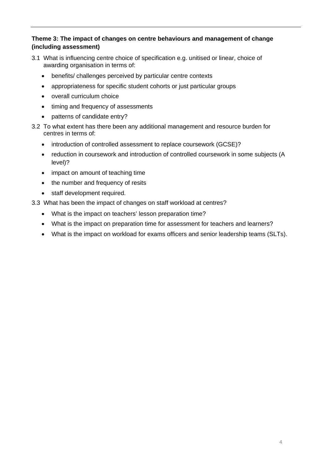## **Theme 3: The impact of changes on centre behaviours and management of change (including assessment)**

- 3.1 What is influencing centre choice of specification e.g. unitised or linear, choice of awarding organisation in terms of:
	- benefits/ challenges perceived by particular centre contexts
	- appropriateness for specific student cohorts or just particular groups
	- overall curriculum choice
	- timing and frequency of assessments
	- patterns of candidate entry?
- 3.2 To what extent has there been any additional management and resource burden for centres in terms of:
	- introduction of controlled assessment to replace coursework (GCSE)?
	- reduction in coursework and introduction of controlled coursework in some subjects (A level)?
	- impact on amount of teaching time
	- the number and frequency of resits
	- staff development required.
- 3.3 What has been the impact of changes on staff workload at centres?
	- What is the impact on teachers' lesson preparation time?
	- What is the impact on preparation time for assessment for teachers and learners?
	- What is the impact on workload for exams officers and senior leadership teams (SLTs).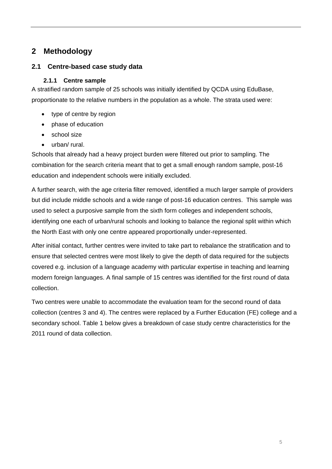# <span id="page-4-0"></span>**2 Methodology**

## **2.1 Centre-based case study data**

## **2.1.1 Centre sample**

A stratified random sample of 25 schools was initially identified by QCDA using EduBase, proportionate to the relative numbers in the population as a whole. The strata used were:

- type of centre by region
- phase of education
- school size
- urban/ rural.

Schools that already had a heavy project burden were filtered out prior to sampling. The combination for the search criteria meant that to get a small enough random sample, post-16 education and independent schools were initially excluded.

A further search, with the age criteria filter removed, identified a much larger sample of providers but did include middle schools and a wide range of post-16 education centres. This sample was used to select a purposive sample from the sixth form colleges and independent schools, identifying one each of urban/rural schools and looking to balance the regional split within which the North East with only one centre appeared proportionally under-represented.

After initial contact, further centres were invited to take part to rebalance the stratification and to ensure that selected centres were most likely to give the depth of data required for the subjects covered e.g. inclusion of a language academy with particular expertise in teaching and learning modern foreign languages. A final sample of 15 centres was identified for the first round of data collection.

Two centres were unable to accommodate the evaluation team for the second round of data collection (centres 3 and 4). The centres were replaced by a Further Education (FE) college and a secondary school. [Table 1](#page-5-1) below gives a breakdown of case study centre characteristics for the 2011 round of data collection.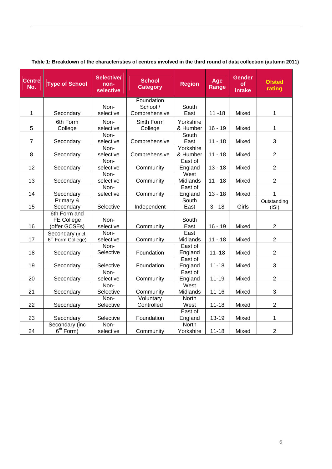<span id="page-5-1"></span>

| <b>Centre</b><br>No.                         | <b>Type of School</b>                                                                                                                         | Selective/<br>non-<br>selective                                                                                                              | <b>School</b><br><b>Category</b>                                                                                      | <b>Region</b>                                                                                                                                               | Age<br>Range                                                                                     | <b>Gender</b><br>of<br>intake                                        | <b>Ofsted</b><br>rating                                                                               |
|----------------------------------------------|-----------------------------------------------------------------------------------------------------------------------------------------------|----------------------------------------------------------------------------------------------------------------------------------------------|-----------------------------------------------------------------------------------------------------------------------|-------------------------------------------------------------------------------------------------------------------------------------------------------------|--------------------------------------------------------------------------------------------------|----------------------------------------------------------------------|-------------------------------------------------------------------------------------------------------|
|                                              |                                                                                                                                               |                                                                                                                                              | Foundation                                                                                                            |                                                                                                                                                             |                                                                                                  |                                                                      |                                                                                                       |
|                                              |                                                                                                                                               | Non-                                                                                                                                         | School /                                                                                                              | South                                                                                                                                                       |                                                                                                  |                                                                      |                                                                                                       |
| 1                                            | Secondary                                                                                                                                     | selective                                                                                                                                    | Comprehensive                                                                                                         | East                                                                                                                                                        | $11 - 18$                                                                                        | Mixed                                                                | $\mathbf{1}$                                                                                          |
|                                              | 6th Form                                                                                                                                      | Non-                                                                                                                                         | Sixth Form                                                                                                            | Yorkshire                                                                                                                                                   |                                                                                                  |                                                                      |                                                                                                       |
| 5                                            | College                                                                                                                                       | selective                                                                                                                                    | College                                                                                                               | & Humber                                                                                                                                                    | $16 - 19$                                                                                        | Mixed                                                                | 1                                                                                                     |
|                                              |                                                                                                                                               | Non-                                                                                                                                         |                                                                                                                       | South                                                                                                                                                       |                                                                                                  |                                                                      |                                                                                                       |
| $\overline{7}$                               | Secondary                                                                                                                                     | selective                                                                                                                                    | Comprehensive                                                                                                         | East                                                                                                                                                        | $11 - 18$                                                                                        | Mixed                                                                | 3                                                                                                     |
|                                              |                                                                                                                                               | Non-                                                                                                                                         |                                                                                                                       | Yorkshire                                                                                                                                                   |                                                                                                  |                                                                      |                                                                                                       |
| 8                                            | Secondary                                                                                                                                     | selective                                                                                                                                    | Comprehensive                                                                                                         | & Humber                                                                                                                                                    | $11 - 18$                                                                                        | Mixed                                                                | $\overline{2}$                                                                                        |
|                                              |                                                                                                                                               | Non-                                                                                                                                         |                                                                                                                       | East of                                                                                                                                                     |                                                                                                  |                                                                      |                                                                                                       |
| 12                                           | Secondary                                                                                                                                     | selective                                                                                                                                    | Community                                                                                                             | England                                                                                                                                                     | $13 - 18$                                                                                        | Mixed                                                                | $\overline{2}$                                                                                        |
|                                              |                                                                                                                                               | Non-                                                                                                                                         |                                                                                                                       | West                                                                                                                                                        |                                                                                                  |                                                                      |                                                                                                       |
| 13                                           | Secondary                                                                                                                                     | selective                                                                                                                                    | Community                                                                                                             | Midlands                                                                                                                                                    | $11 - 18$                                                                                        | Mixed                                                                | $\overline{c}$                                                                                        |
|                                              |                                                                                                                                               | Non-                                                                                                                                         |                                                                                                                       | East of                                                                                                                                                     |                                                                                                  |                                                                      |                                                                                                       |
| 14                                           | Secondary                                                                                                                                     | selective                                                                                                                                    | Community                                                                                                             | England                                                                                                                                                     | $13 - 18$                                                                                        | Mixed                                                                | 1                                                                                                     |
|                                              | Primary &                                                                                                                                     |                                                                                                                                              |                                                                                                                       | South                                                                                                                                                       |                                                                                                  |                                                                      | Outstanding                                                                                           |
| 15                                           | Secondary                                                                                                                                     | Selective                                                                                                                                    | Independent                                                                                                           | East                                                                                                                                                        | $3 - 18$                                                                                         | Girls                                                                | (ISI)                                                                                                 |
|                                              | 6th Form and                                                                                                                                  |                                                                                                                                              |                                                                                                                       |                                                                                                                                                             |                                                                                                  |                                                                      |                                                                                                       |
|                                              | <b>FE College</b>                                                                                                                             | Non-                                                                                                                                         |                                                                                                                       | South                                                                                                                                                       |                                                                                                  |                                                                      |                                                                                                       |
| 16                                           | (offer GCSEs)                                                                                                                                 | selective                                                                                                                                    | Community                                                                                                             | East                                                                                                                                                        | $16 - 19$                                                                                        | Mixed                                                                | $\overline{2}$                                                                                        |
|                                              | Secondary (incl.                                                                                                                              | Non-                                                                                                                                         |                                                                                                                       | East                                                                                                                                                        |                                                                                                  |                                                                      |                                                                                                       |
|                                              |                                                                                                                                               |                                                                                                                                              |                                                                                                                       |                                                                                                                                                             |                                                                                                  |                                                                      |                                                                                                       |
|                                              |                                                                                                                                               |                                                                                                                                              |                                                                                                                       |                                                                                                                                                             |                                                                                                  |                                                                      |                                                                                                       |
|                                              |                                                                                                                                               |                                                                                                                                              |                                                                                                                       |                                                                                                                                                             |                                                                                                  |                                                                      |                                                                                                       |
|                                              |                                                                                                                                               |                                                                                                                                              |                                                                                                                       |                                                                                                                                                             |                                                                                                  |                                                                      |                                                                                                       |
|                                              |                                                                                                                                               |                                                                                                                                              |                                                                                                                       |                                                                                                                                                             |                                                                                                  |                                                                      |                                                                                                       |
|                                              |                                                                                                                                               |                                                                                                                                              |                                                                                                                       |                                                                                                                                                             |                                                                                                  |                                                                      |                                                                                                       |
|                                              |                                                                                                                                               |                                                                                                                                              |                                                                                                                       |                                                                                                                                                             |                                                                                                  |                                                                      |                                                                                                       |
|                                              |                                                                                                                                               |                                                                                                                                              |                                                                                                                       |                                                                                                                                                             |                                                                                                  |                                                                      |                                                                                                       |
|                                              |                                                                                                                                               |                                                                                                                                              |                                                                                                                       |                                                                                                                                                             |                                                                                                  |                                                                      |                                                                                                       |
|                                              |                                                                                                                                               |                                                                                                                                              |                                                                                                                       |                                                                                                                                                             |                                                                                                  |                                                                      |                                                                                                       |
|                                              |                                                                                                                                               |                                                                                                                                              |                                                                                                                       |                                                                                                                                                             |                                                                                                  |                                                                      |                                                                                                       |
|                                              |                                                                                                                                               |                                                                                                                                              |                                                                                                                       |                                                                                                                                                             |                                                                                                  |                                                                      |                                                                                                       |
|                                              |                                                                                                                                               |                                                                                                                                              |                                                                                                                       |                                                                                                                                                             |                                                                                                  |                                                                      |                                                                                                       |
|                                              |                                                                                                                                               |                                                                                                                                              |                                                                                                                       |                                                                                                                                                             |                                                                                                  |                                                                      |                                                                                                       |
| 17<br>18<br>19<br>20<br>21<br>22<br>23<br>24 | 6 <sup>th</sup> Form College)<br>Secondary<br>Secondary<br>Secondary<br>Secondary<br>Secondary<br>Secondary<br>Secondary (inc<br>$6th Form$ ) | selective<br>Non-<br>Selective<br>Selective<br>Non-<br>selective<br>Non-<br>Selective<br>Non-<br>Selective<br>Selective<br>Non-<br>selective | Community<br>Foundation<br>Foundation<br>Community<br>Community<br>Voluntary<br>Controlled<br>Foundation<br>Community | Midlands<br>East of<br>England<br>East of<br>England<br>East of<br>England<br>West<br>Midlands<br>North<br>West<br>East of<br>England<br>North<br>Yorkshire | $11 - 18$<br>$11 - 18$<br>$11 - 18$<br>$11 - 19$<br>$11 - 16$<br>$11 - 18$<br>13-19<br>$11 - 18$ | Mixed<br>Mixed<br>Mixed<br>Mixed<br>Mixed<br>Mixed<br>Mixed<br>Mixed | $\overline{2}$<br>$\overline{2}$<br>3<br>$\overline{2}$<br>3<br>$\overline{c}$<br>1<br>$\overline{c}$ |

## <span id="page-5-0"></span>**Table 1: Breakdown of the characteristics of centres involved in the third round of data collection (autumn 2011)**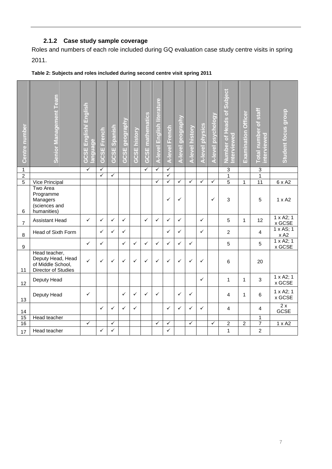## **2.1.2 Case study sample coverage**

<span id="page-6-0"></span>Roles and numbers of each role included during GQ evaluation case study centre visits in spring 2011.

| Centre number  | Senior Management Team                                                         | English/English<br>anguage<br><b>GCSE</b> | <b>GCSE French</b>                      | GCSE Spanish | GCSE geography | <b>GCSE history</b> | <b>GCSE</b> mathematics | A-level English literature | A-level French                          | A-level geography | A-level history | A-level physics | A-level psychology | <b>Number of Heads of Subject</b><br>nterviewed | <b>Examination Officer</b> | Total number of staff<br>interviewed | <b>Student focus group</b>     |
|----------------|--------------------------------------------------------------------------------|-------------------------------------------|-----------------------------------------|--------------|----------------|---------------------|-------------------------|----------------------------|-----------------------------------------|-------------------|-----------------|-----------------|--------------------|-------------------------------------------------|----------------------------|--------------------------------------|--------------------------------|
| $\mathbf 1$    |                                                                                | ✓                                         | $\checkmark$<br>$\overline{\checkmark}$ |              |                |                     | $\checkmark$            | $\checkmark$               | $\checkmark$<br>$\overline{\checkmark}$ |                   |                 |                 |                    | 3                                               |                            | $\ensuremath{\mathsf{3}}$            |                                |
| $\overline{2}$ |                                                                                |                                           |                                         | $\checkmark$ |                |                     |                         | $\checkmark$               | $\overline{\checkmark}$                 | $\checkmark$      | $\checkmark$    | $\checkmark$    | $\checkmark$       | $\overline{1}$<br>$\overline{5}$                |                            | $\overline{1}$                       |                                |
| 5              | Vice Principal<br><b>Two Area</b>                                              |                                           |                                         |              |                |                     |                         |                            |                                         |                   |                 |                 |                    |                                                 | 1                          | $\overline{11}$                      | 6 x A2                         |
| 6              | Programme<br>Managers<br>(sciences and<br>humanities)                          |                                           |                                         |              |                |                     |                         |                            | ✓                                       | $\checkmark$      |                 |                 | $\checkmark$       | 3                                               |                            | 5                                    | $1 \times A2$                  |
| $\overline{7}$ | <b>Assistant Head</b>                                                          | $\checkmark$                              | $\checkmark$                            | $\checkmark$ | $\checkmark$   |                     | ✓                       | ✓                          | ✓                                       | $\checkmark$      |                 | $\checkmark$    |                    | 5                                               | $\mathbf{1}$               | 12                                   | $1 \times A2$ ; 1<br>x GCSE    |
| 8              | Head of Sixth Form                                                             |                                           | $\checkmark$                            | $\checkmark$ | ✓              |                     |                         |                            | ✓                                       | ✓                 |                 | $\checkmark$    |                    | $\overline{c}$                                  |                            | $\overline{4}$                       | 1 x AS; 1<br>x A2              |
| 9              |                                                                                | $\checkmark$                              | $\checkmark$                            |              | $\checkmark$   | ✓                   | $\checkmark$            | ✓                          | ✓                                       | $\checkmark$      | $\checkmark$    |                 |                    | 5                                               |                            | 5                                    | $1 \times A2$ ; 1<br>x GCSE    |
| 11             | Head teacher,<br>Deputy Head, Head<br>of Middle School,<br>Director of Studies | $\checkmark$                              | $\checkmark$                            | $\checkmark$ | $\checkmark$   | ✓                   | $\checkmark$            | ✓                          | ✓                                       | $\checkmark$      | $\checkmark$    | $\checkmark$    |                    | 6                                               |                            | 20                                   |                                |
| 12             | Deputy Head                                                                    |                                           |                                         |              |                |                     |                         |                            |                                         |                   |                 | ✓               |                    | 1                                               | $\mathbf{1}$               | 3                                    | 1 x A2; 1<br>x GCSE            |
| 13             | Deputy Head                                                                    | ✓                                         |                                         |              | $\checkmark$   | ✓                   | $\checkmark$            | ✓                          |                                         | $\checkmark$      | $\checkmark$    |                 |                    | 4                                               | 1                          | 6                                    | 1 x A2; 1<br>x GCSE            |
| 14             |                                                                                |                                           | $\checkmark$                            | $\checkmark$ | $\checkmark$   | ✓                   |                         |                            | ✓                                       | $\checkmark$      | $\checkmark$    | $\checkmark$    |                    | $\overline{4}$                                  |                            | $\overline{4}$                       | $\overline{2x}$<br><b>GCSE</b> |
| 15             | Head teacher                                                                   |                                           |                                         |              |                |                     |                         |                            |                                         |                   |                 |                 |                    |                                                 |                            | 1                                    |                                |
| 16             |                                                                                | ✓                                         |                                         | $\checkmark$ |                |                     |                         | ✓                          | ✓                                       |                   | $\checkmark$    |                 | $\checkmark$       | $\overline{2}$                                  | $\overline{2}$             | $\overline{7}$                       | $1 \times A2$                  |
| 17             | Head teacher                                                                   |                                           | ✓                                       | ✓            |                |                     |                         |                            | ✓                                       |                   |                 |                 |                    | 1                                               |                            | $\overline{2}$                       |                                |

## **Table 2: Subjects and roles included during second centre visit spring 2011**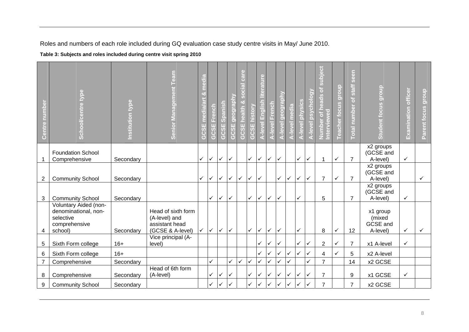Roles and numbers of each role included during GQ evaluation case study centre visits in May/ June 2010.

**Table 3: Subjects and roles included during centre visit spring 2010** 

<span id="page-7-0"></span>

| Centre numbe   | School/centre type                                                                     | nstitution type | Senior Management Team                                                    | $\frac{1}{2}$<br>ශ්<br>$\omega$<br>$\overline{v}$<br>등<br>$\mathbf{H}$<br>ပ္ပိ<br>$\overline{(\cdot)}$ | $\overline{c}$<br>π<br>ဖြ<br>$\overline{G}$ | Spanish<br>GCSE: | <b>GCSE</b> geograpl | $\overline{B}$<br><b>GCSE</b> | history<br>$\overline{\mathbf{u}}$<br>ကြ<br>$\overline{(\cdot)}$ | $\epsilon$<br>English<br>$r$ -level | French<br>level | -level geography | -level media | -level physics | <b>A-level psycholog</b> | subject<br>ð<br>heads<br>erviewed<br>Number of | dronb<br>eacher focus | seen<br>staff<br>$\overline{\sigma}$<br>Total number | <b>Student focus group</b>                 | <b>Examination officer</b> | Parent focus group |
|----------------|----------------------------------------------------------------------------------------|-----------------|---------------------------------------------------------------------------|--------------------------------------------------------------------------------------------------------|---------------------------------------------|------------------|----------------------|-------------------------------|------------------------------------------------------------------|-------------------------------------|-----------------|------------------|--------------|----------------|--------------------------|------------------------------------------------|-----------------------|------------------------------------------------------|--------------------------------------------|----------------------------|--------------------|
| $\mathbf{1}$   | <b>Foundation School</b><br>Comprehensive                                              | Secondary       |                                                                           | $\checkmark$                                                                                           | $\checkmark$                                | $\checkmark$     | $\checkmark$         |                               | $\checkmark$                                                     | $\checkmark$                        | $\checkmark$    | $\checkmark$     |              | $\checkmark$   | ✓                        | $\mathbf 1$                                    | ✓                     | $\overline{7}$                                       | x2 groups<br>(GCSE and<br>A-level)         | $\checkmark$               |                    |
| 2              | <b>Community School</b>                                                                | Secondary       |                                                                           | $\checkmark$                                                                                           | $\checkmark$                                | $\checkmark$     | $\checkmark$         | $\checkmark$                  | $\checkmark$                                                     | $\checkmark$                        |                 | ✓                | $\checkmark$ | ✓              | ✓                        | $\overline{7}$                                 | $\checkmark$          | $\overline{7}$                                       | x2 groups<br>(GCSE and<br>A-level)         |                            | $\checkmark$       |
| 3              | <b>Community School</b>                                                                | Secondary       |                                                                           |                                                                                                        | ✓                                           | $\checkmark$     | $\checkmark$         |                               | $\checkmark$                                                     | $\checkmark$                        | $\checkmark$    | ✓                |              | $\checkmark$   |                          | 5                                              |                       | $\overline{7}$                                       | x2 groups<br>(GCSE and<br>A-level)         | $\checkmark$               |                    |
| 4              | Voluntary Aided (non-<br>denominational, non-<br>selective<br>comprehensive<br>school) | Secondary       | Head of sixth form<br>(A-level) and<br>assistant head<br>(GCSE & A-level) | $\checkmark$                                                                                           | $\checkmark$                                | $\checkmark$     | $\checkmark$         |                               | $\checkmark$                                                     | $\checkmark$                        | $\checkmark$    | ✓                |              | ✓              |                          | 8                                              | $\checkmark$          | 12                                                   | x1 group<br>(mixed<br>GCSE and<br>A-level) | $\checkmark$               | ✓                  |
| $\sqrt{5}$     | Sixth Form college                                                                     | $16+$           | Vice principal (A-<br>level)                                              |                                                                                                        |                                             |                  |                      |                               |                                                                  |                                     | $\checkmark$    | ✓                |              | $\checkmark$   |                          | $\overline{2}$                                 | ✓                     | $\overline{7}$                                       | x1 A-level                                 | $\checkmark$               |                    |
| 6              | Sixth Form college                                                                     | $16+$           |                                                                           |                                                                                                        |                                             |                  |                      |                               |                                                                  | ✓                                   | $\checkmark$    | ✓                |              | ✓              |                          | 4                                              | ✓                     | 5                                                    | x2 A-level                                 |                            |                    |
| $\overline{7}$ | Comprehensive                                                                          | Secondary       |                                                                           |                                                                                                        | ✓                                           |                  | $\checkmark$         | ✓                             | $\checkmark$                                                     |                                     | ✓               | ✓                |              |                | ✓                        | $\overline{7}$                                 |                       | 14                                                   | x2 GCSE                                    |                            |                    |
| 8              | Comprehensive                                                                          | Secondary       | Head of 6th form<br>(A-level)                                             |                                                                                                        | ✓                                           | $\checkmark$     | ✓                    |                               | $\checkmark$                                                     | $\checkmark$                        | $\checkmark$    | ✓                | ✓            | $\checkmark$   | ✓                        | $\overline{7}$                                 |                       | 9                                                    | x1 GCSE                                    | $\checkmark$               |                    |
| 9              | <b>Community School</b>                                                                | Secondary       |                                                                           |                                                                                                        | ✓                                           |                  |                      |                               | $\checkmark$                                                     |                                     |                 |                  |              |                |                          | $\overline{7}$                                 |                       | $\overline{7}$                                       | x2 GCSE                                    |                            |                    |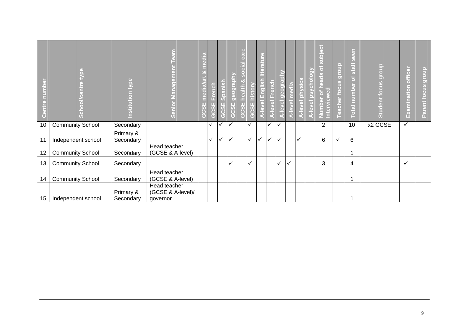|    | type<br>ㅎ<br>$\overline{0}$ | stitution type         | eam<br>Ĕ<br><b>Senior Management</b>          | ench<br>Ě<br>$\omega$ | <b>GCSE</b> Spanish | <b>Deogl</b><br>Ш<br>ဖွ<br>$\sqrt{5}$ | $\overline{a}$<br>$\epsilon$<br>$\omega$ | ÷.<br>$\bullet$<br>hist<br>Ш<br>ပ္ပ | $\overline{a}$<br>高<br>$\phi$ | ench<br>Ě    | $\overline{5}$<br>$\Phi$<br>$\overline{c}$ | <u>ia</u> | ξ<br>$\overline{\mathbf{C}}$<br>$\overline{\mathbf{a}}$<br>à | $\ddot{\bullet}$ | 6<br>Б<br>61<br>(e)<br>$\overline{\mathfrak{g}}$<br>TO <sup>1</sup><br>$\left($ b<br>$\overline{a}$<br>Ĕ | $\circ$<br><b>Ino.l</b><br>O)<br><b>Teacher focu</b> | <b>Dee</b><br>77<br><b>Staff</b><br>5<br><b>Inbel</b><br>5<br>а<br>ptal | dronb<br>cus<br>$\frac{8}{1}$<br><b>Studen</b> | officer<br>$\overline{5}$<br>minati<br>Exal | dronb<br>$\omega$<br>Ë<br>$\circ$<br><b>TG</b><br>$\overline{\mathbf{v}}$<br>n. |
|----|-----------------------------|------------------------|-----------------------------------------------|-----------------------|---------------------|---------------------------------------|------------------------------------------|-------------------------------------|-------------------------------|--------------|--------------------------------------------|-----------|--------------------------------------------------------------|------------------|----------------------------------------------------------------------------------------------------------|------------------------------------------------------|-------------------------------------------------------------------------|------------------------------------------------|---------------------------------------------|---------------------------------------------------------------------------------|
| 10 | <b>Community School</b>     | Secondary              |                                               | $\checkmark$          |                     | ✓                                     |                                          | ✓                                   |                               | ✓            |                                            |           |                                                              |                  | $\overline{2}$                                                                                           |                                                      | 10                                                                      | x2 GCSE                                        | $\checkmark$                                |                                                                                 |
| 11 | Independent school          | Primary &<br>Secondary |                                               | $\checkmark$          | $\checkmark$        | $\checkmark$                          |                                          | $\checkmark$                        | $\checkmark$                  | $\checkmark$ | ✓                                          |           | $\checkmark$                                                 |                  | 6                                                                                                        | $\checkmark$                                         | 6                                                                       |                                                |                                             |                                                                                 |
| 12 | <b>Community School</b>     | Secondary              | Head teacher<br>(GCSE & A-level)              |                       |                     |                                       |                                          |                                     |                               |              |                                            |           |                                                              |                  |                                                                                                          |                                                      |                                                                         |                                                |                                             |                                                                                 |
| 13 | <b>Community School</b>     | Secondary              |                                               |                       |                     | $\checkmark$                          |                                          | ✓                                   |                               |              | ✓                                          | ✓         |                                                              |                  | 3                                                                                                        |                                                      | 4                                                                       |                                                | $\checkmark$                                |                                                                                 |
| 14 | <b>Community School</b>     | Secondary              | Head teacher<br>(GCSE & A-level)              |                       |                     |                                       |                                          |                                     |                               |              |                                            |           |                                                              |                  |                                                                                                          |                                                      |                                                                         |                                                |                                             |                                                                                 |
| 15 | Independent school          | Primary &<br>Secondary | Head teacher<br>(GCSE & A-level)/<br>governor |                       |                     |                                       |                                          |                                     |                               |              |                                            |           |                                                              |                  |                                                                                                          |                                                      |                                                                         |                                                |                                             |                                                                                 |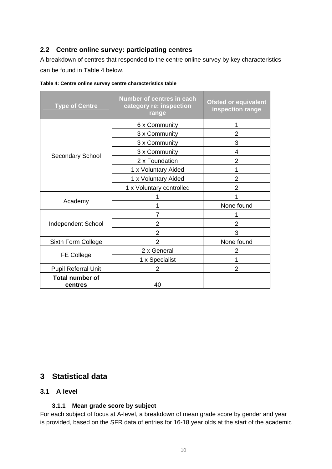## <span id="page-9-0"></span>**2.2 Centre online survey: participating centres**

A breakdown of centres that responded to the centre online survey by key characteristics can be found in [Table 4](#page-9-1) below.

| <b>Type of Centre</b>             | <b>Number of centres in each</b><br>category re: inspection<br>range | <b>Ofsted or equivalent</b><br>inspection range |  |  |  |  |
|-----------------------------------|----------------------------------------------------------------------|-------------------------------------------------|--|--|--|--|
|                                   | 6 x Community                                                        |                                                 |  |  |  |  |
|                                   | 3 x Community                                                        | $\overline{2}$                                  |  |  |  |  |
|                                   | 3 x Community                                                        | 3                                               |  |  |  |  |
|                                   | 3 x Community                                                        | 4                                               |  |  |  |  |
| Secondary School                  | 2 x Foundation                                                       | $\overline{2}$                                  |  |  |  |  |
|                                   | 1 x Voluntary Aided                                                  | 1                                               |  |  |  |  |
|                                   | 1 x Voluntary Aided                                                  | 2                                               |  |  |  |  |
|                                   | 1 x Voluntary controlled                                             | 2                                               |  |  |  |  |
|                                   |                                                                      |                                                 |  |  |  |  |
| Academy                           | 1                                                                    | None found                                      |  |  |  |  |
|                                   | 7                                                                    |                                                 |  |  |  |  |
| <b>Independent School</b>         | 2                                                                    | $\overline{2}$                                  |  |  |  |  |
|                                   | $\overline{2}$                                                       | 3                                               |  |  |  |  |
| Sixth Form College                | $\overline{2}$                                                       | None found                                      |  |  |  |  |
|                                   | 2 x General                                                          | 2                                               |  |  |  |  |
| <b>FE College</b>                 | 1 x Specialist                                                       |                                                 |  |  |  |  |
| <b>Pupil Referral Unit</b>        | 2                                                                    | 2                                               |  |  |  |  |
| <b>Total number of</b><br>centres | 40                                                                   |                                                 |  |  |  |  |

<span id="page-9-1"></span>**Table 4: Centre online survey centre characteristics table** 

## **3 Statistical data**

### **3.1 A level**

## **3.1.1 Mean grade score by subject**

For each subject of focus at A-level, a breakdown of mean grade score by gender and year is provided, based on the SFR data of entries for 16-18 year olds at the start of the academic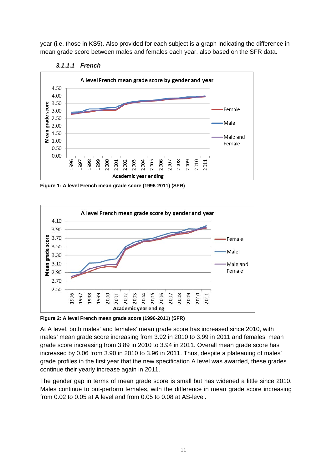<span id="page-10-0"></span>year (i.e. those in KS5). Also provided for each subject is a graph indicating the difference in mean grade score between males and females each year, also based on the SFR data.





**Figure 1: A level French mean grade score (1996-2011) (SFR)** 



**Figure 2: A level French mean grade score (1996-2011) (SFR)** 

At A level, both males' and females' mean grade score has increased since 2010, with males' mean grade score increasing from 3.92 in 2010 to 3.99 in 2011 and females' mean grade score increasing from 3.89 in 2010 to 3.94 in 2011. Overall mean grade score has increased by 0.06 from 3.90 in 2010 to 3.96 in 2011. Thus, despite a plateauing of males' grade profiles in the first year that the new specification A level was awarded, these grades continue their yearly increase again in 2011.

The gender gap in terms of mean grade score is small but has widened a little since 2010. Males continue to out-perform females, with the difference in mean grade score increasing from 0.02 to 0.05 at A level and from 0.05 to 0.08 at AS-level.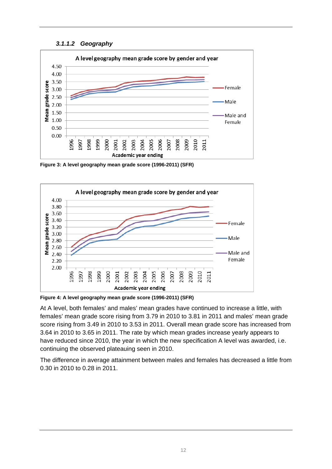#### *3.1.1.2 Geography*

<span id="page-11-0"></span>

**Figure 3: A level geography mean grade score (1996-2011) (SFR)** 



**Figure 4: A level geography mean grade score (1996-2011) (SFR)** 

At A level, both females' and males' mean grades have continued to increase a little, with females' mean grade score rising from 3.79 in 2010 to 3.81 in 2011 and males' mean grade score rising from 3.49 in 2010 to 3.53 in 2011. Overall mean grade score has increased from 3.64 in 2010 to 3.65 in 2011. The rate by which mean grades increase yearly appears to have reduced since 2010, the year in which the new specification A level was awarded, i.e. continuing the observed plateauing seen in 2010.

The difference in average attainment between males and females has decreased a little from 0.30 in 2010 to 0.28 in 2011.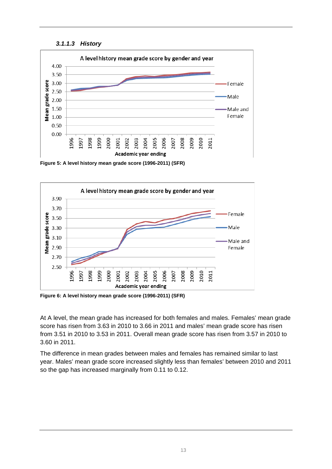

<span id="page-12-0"></span>

**Figure 5: A level history mean grade score (1996-2011) (SFR)** 



**Figure 6: A level history mean grade score (1996-2011) (SFR)** 

At A level, the mean grade has increased for both females and males. Females' mean grade score has risen from 3.63 in 2010 to 3.66 in 2011 and males' mean grade score has risen from 3.51 in 2010 to 3.53 in 2011. Overall mean grade score has risen from 3.57 in 2010 to 3.60 in 2011.

The difference in mean grades between males and females has remained similar to last year. Males' mean grade score increased slightly less than females' between 2010 and 2011 so the gap has increased marginally from 0.11 to 0.12.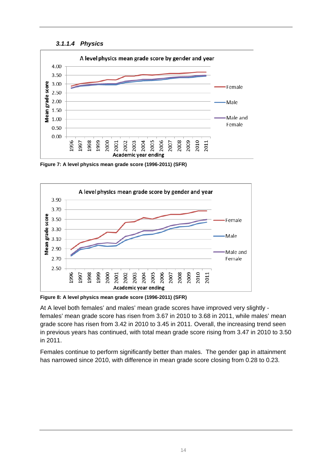

<span id="page-13-0"></span>

**Figure 7: A level physics mean grade score (1996-2011) (SFR)** 



**Figure 8: A level physics mean grade score (1996-2011) (SFR)** 

At A level both females' and males' mean grade scores have improved very slightly females' mean grade score has risen from 3.67 in 2010 to 3.68 in 2011, while males' mean grade score has risen from 3.42 in 2010 to 3.45 in 2011. Overall, the increasing trend seen in previous years has continued, with total mean grade score rising from 3.47 in 2010 to 3.50 in 2011.

Females continue to perform significantly better than males. The gender gap in attainment has narrowed since 2010, with difference in mean grade score closing from 0.28 to 0.23.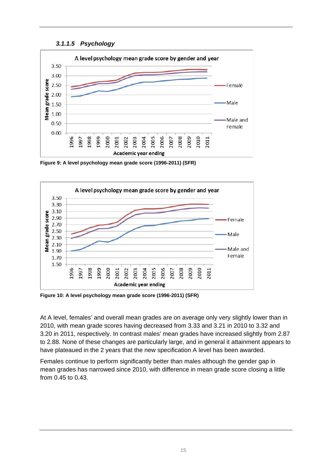#### *3.1.1.5 Psychology*

<span id="page-14-0"></span>

**Figure 9: A level psychology mean grade score (1996-2011) (SFR)** 



**Figure 10: A level psychology mean grade score (1996-2011) (SFR)** 

At A level, females' and overall mean grades are on average only very slightly lower than in 2010, with mean grade scores having decreased from 3.33 and 3.21 in 2010 to 3.32 and 3.20 in 2011, respectively. In contrast males' mean grades have increased slightly from 2.87 to 2.88. None of these changes are particularly large, and in general it attainment appears to have plateaued in the 2 years that the new specification A level has been awarded.

Females continue to perform significantly better than males although the gender gap in mean grades has narrowed since 2010, with difference in mean grade score closing a little from 0.45 to 0.43.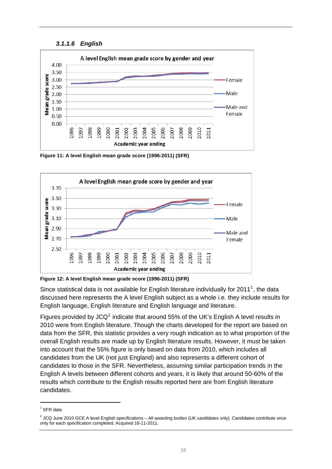#### *3.1.1.6 English*

<span id="page-15-0"></span>

**Figure 11: A level English mean grade score (1996-2011) (SFR)** 



**Figure 12: A level English mean grade score (1996-2011) (SFR)** 

Since statistical data is not available for English literature individually for 20[1](#page-15-0)1<sup>1</sup>, the data discussed here represents the A level English subject as a whole i.e. they include results for English language, English literature and English language and literature.

Figures provided by JCQ<sup>[2](#page-15-0)</sup> indicate that around 55% of the UK's English A level results in 2010 were from English literature. Though the charts developed for the report are based on data from the SFR, this statistic provides a very rough indication as to what proportion of the overall English results are made up by English literature results. However, it must be taken into account that the 55% figure is only based on data from 2010, which includes all candidates from the UK (not just England) and also represents a different cohort of candidates to those in the SFR. Nevertheless, assuming similar participation trends in the English A levels between different cohorts and years, it is likely that around 50-60% of the results which contribute to the English results reported here are from English literature candidates.

 $1$  SFR data

 $<sup>2</sup>$  JCQ June 2010 GCE A level English specifications – All awarding bodies (UK candidates only). Candidates contribute once</sup> only for each specification completed. Acquired 18-11-2011.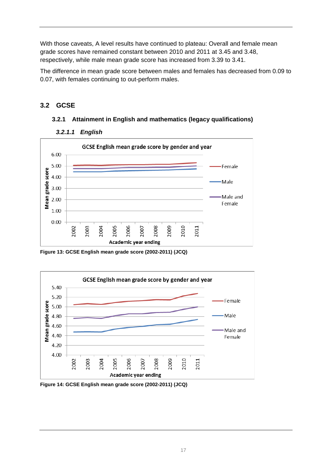<span id="page-16-0"></span>With those caveats, A level results have continued to plateau: Overall and female mean grade scores have remained constant between 2010 and 2011 at 3.45 and 3.48, respectively, while male mean grade score has increased from 3.39 to 3.41.

The difference in mean grade score between males and females has decreased from 0.09 to 0.07, with females continuing to out-perform males.

## **3.2 GCSE**

## **3.2.1 Attainment in English and mathematics (legacy qualifications)**



#### *3.2.1.1 English*

**Figure 13: GCSE English mean grade score (2002-2011) (JCQ)** 



**Figure 14: GCSE English mean grade score (2002-2011) (JCQ)**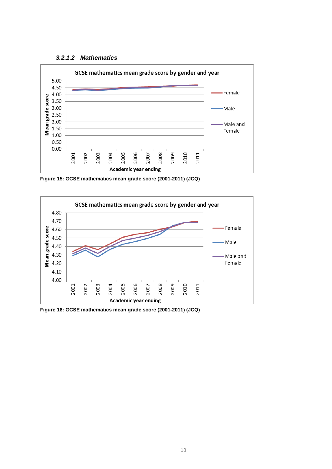

<span id="page-17-0"></span>

**Figure 15: GCSE mathematics mean grade score (2001-2011) (JCQ)** 



**Figure 16: GCSE mathematics mean grade score (2001-2011) (JCQ)**